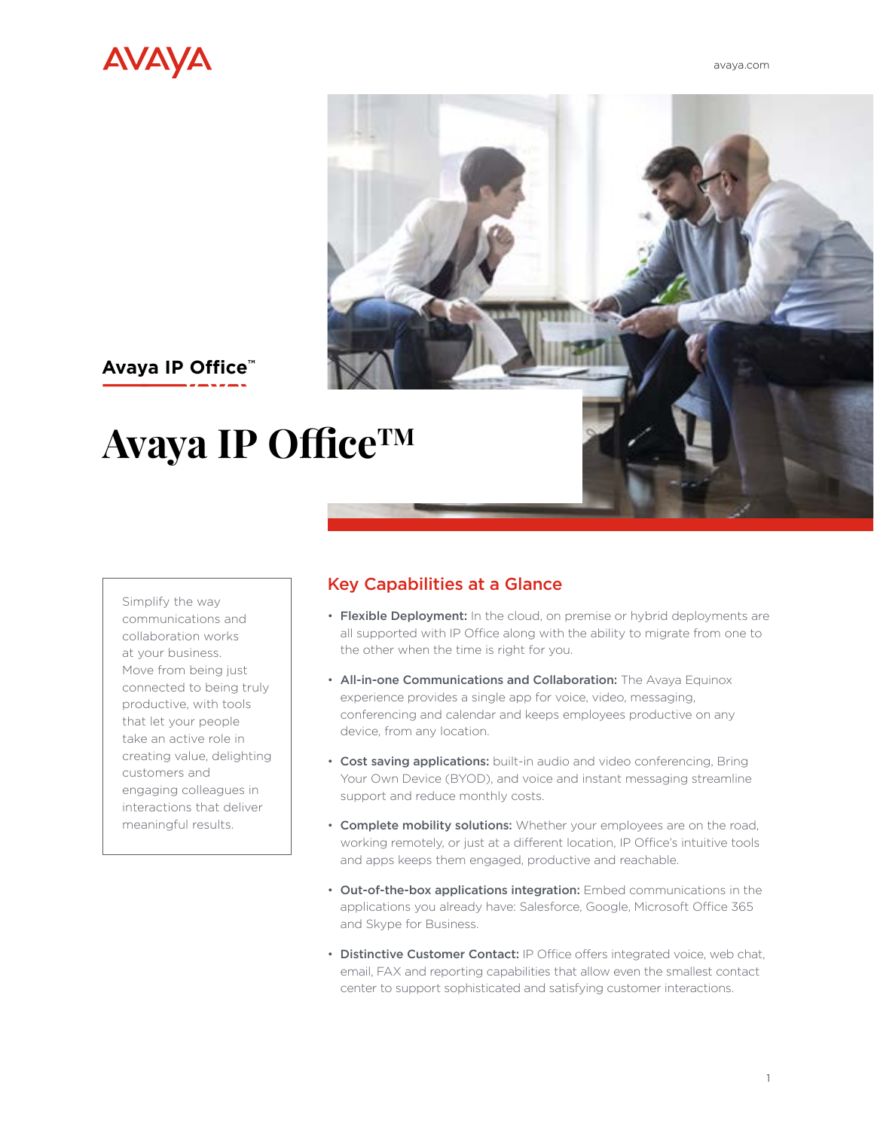



# **Avaya IP Office™**

# **Avaya IP OfficeTM**

Simplify the way communications and collaboration works at your business. Move from being just connected to being truly productive, with tools that let your people take an active role in creating value, delighting customers and engaging colleagues in interactions that deliver meaningful results.

## Key Capabilities at a Glance

- Flexible Deployment: In the cloud, on premise or hybrid deployments are all supported with IP Office along with the ability to migrate from one to the other when the time is right for you.
- All-in-one Communications and Collaboration: The Avaya Equinox experience provides a single app for voice, video, messaging, conferencing and calendar and keeps employees productive on any device, from any location.
- Cost saving applications: built-in audio and video conferencing, Bring Your Own Device (BYOD), and voice and instant messaging streamline support and reduce monthly costs.
- Complete mobility solutions: Whether your employees are on the road, working remotely, or just at a different location, IP Office's intuitive tools and apps keeps them engaged, productive and reachable.
- Out-of-the-box applications integration: Embed communications in the applications you already have: Salesforce, Google, Microsoft Office 365 and Skype for Business.
- Distinctive Customer Contact: IP Office offers integrated voice, web chat, email, FAX and reporting capabilities that allow even the smallest contact center to support sophisticated and satisfying customer interactions.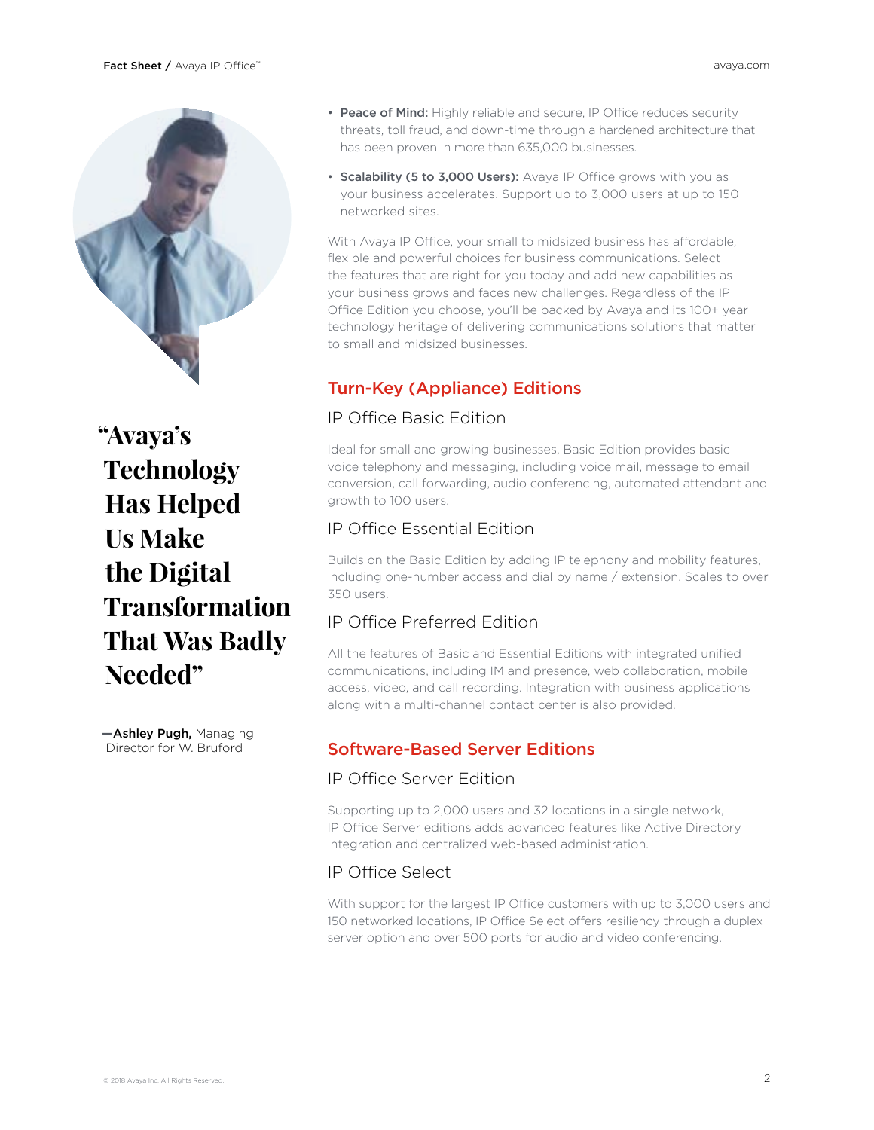

**"Avaya's Technology Has Helped Us Make the Digital Transformation That Was Badly Needed"**

**—**Ashley Pugh, Managing Director for W. Bruford

- Peace of Mind: Highly reliable and secure, IP Office reduces security threats, toll fraud, and down-time through a hardened architecture that has been proven in more than 635,000 businesses.
- Scalability (5 to 3,000 Users): Avaya IP Office grows with you as your business accelerates. Support up to 3,000 users at up to 150 networked sites.

With Avaya IP Office, your small to midsized business has affordable, flexible and powerful choices for business communications. Select the features that are right for you today and add new capabilities as your business grows and faces new challenges. Regardless of the IP Office Edition you choose, you'll be backed by Avaya and its 100+ year technology heritage of delivering communications solutions that matter to small and midsized businesses.

# Turn-Key (Appliance) Editions

#### IP Office Basic Edition

Ideal for small and growing businesses, Basic Edition provides basic voice telephony and messaging, including voice mail, message to email conversion, call forwarding, audio conferencing, automated attendant and growth to 100 users.

#### IP Office Essential Edition

Builds on the Basic Edition by adding IP telephony and mobility features, including one-number access and dial by name / extension. Scales to over 350 users.

## IP Office Preferred Edition

All the features of Basic and Essential Editions with integrated unified communications, including IM and presence, web collaboration, mobile access, video, and call recording. Integration with business applications along with a multi-channel contact center is also provided.

### Software-Based Server Editions

#### IP Office Server Edition

Supporting up to 2,000 users and 32 locations in a single network, IP Office Server editions adds advanced features like Active Directory integration and centralized web-based administration.

#### IP Office Select

With support for the largest IP Office customers with up to 3,000 users and 150 networked locations, IP Office Select offers resiliency through a duplex server option and over 500 ports for audio and video conferencing.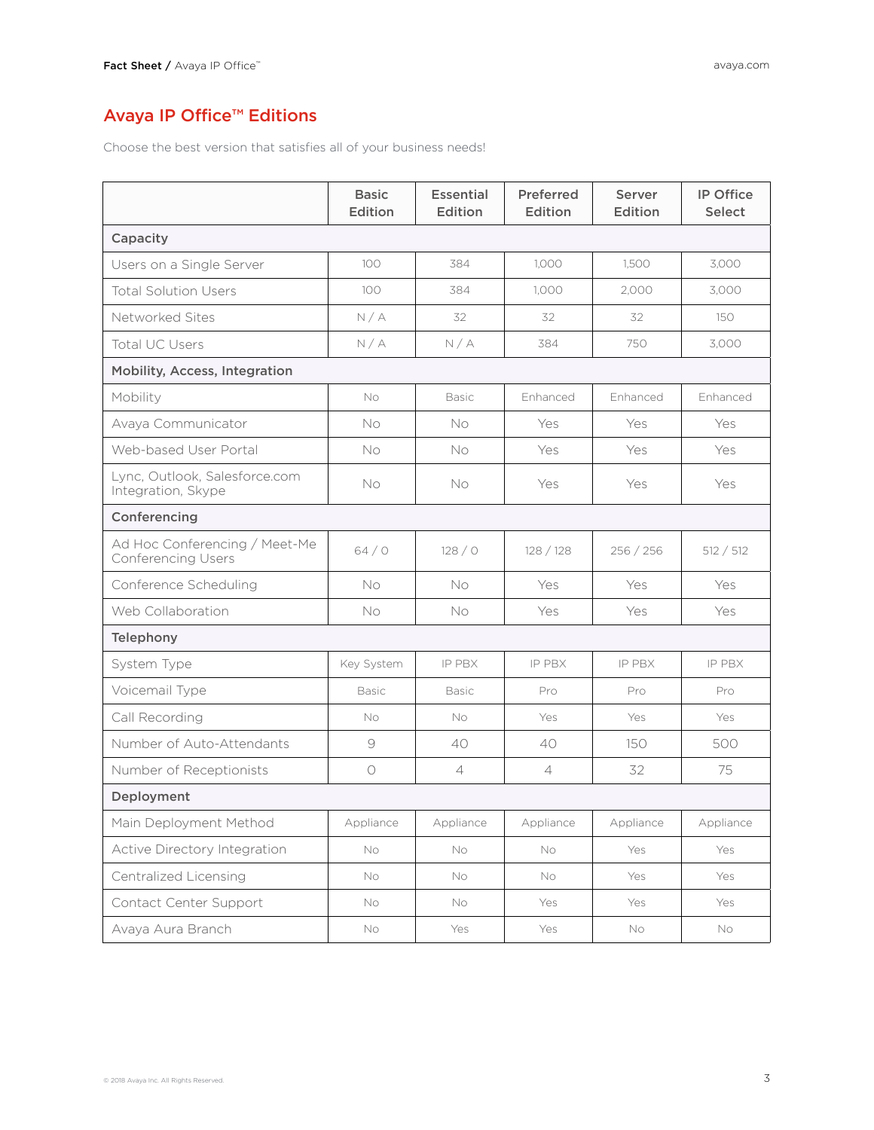# Avaya IP Office™ Editions

Choose the best version that satisfies all of your business needs!

|                                                            | <b>Basic</b><br>Edition | <b>Essential</b><br>Edition | Preferred<br>Edition | Server<br>Edition | <b>IP Office</b><br><b>Select</b> |
|------------------------------------------------------------|-------------------------|-----------------------------|----------------------|-------------------|-----------------------------------|
| Capacity                                                   |                         |                             |                      |                   |                                   |
| Users on a Single Server                                   | 100                     | 384                         | 1,000                | 1,500             | 3,000                             |
| <b>Total Solution Users</b>                                | 100                     | 384                         | 1.000                | 2.000             | 3,000                             |
| Networked Sites                                            | N/A                     | 32                          | 32                   | 32                | 150                               |
| <b>Total UC Users</b>                                      | N/A                     | N/A                         | 384                  | 750               | 3,000                             |
| <b>Mobility, Access, Integration</b>                       |                         |                             |                      |                   |                                   |
| Mobility                                                   | <b>No</b>               | <b>Basic</b>                | Enhanced             | Enhanced          | Enhanced                          |
| Avaya Communicator                                         | No                      | No                          | Yes                  | Yes               | Yes                               |
| Web-based User Portal                                      | No                      | <b>No</b>                   | Yes                  | Yes               | Yes                               |
| Lync, Outlook, Salesforce.com<br>Integration, Skype        | No                      | No                          | Yes                  | Yes               | Yes                               |
| Conferencing                                               |                         |                             |                      |                   |                                   |
| Ad Hoc Conferencing / Meet-Me<br><b>Conferencing Users</b> | 64/0                    | 128/0                       | 128 / 128            | 256 / 256         | 512 / 512                         |
| Conference Scheduling                                      | No                      | No                          | Yes                  | Yes               | Yes                               |
| Web Collaboration                                          | No                      | No                          | Yes                  | Yes               | Yes                               |
| Telephony                                                  |                         |                             |                      |                   |                                   |
| System Type                                                | Key System              | <b>IP PBX</b>               | IP PBX               | IP PBX            | IP PBX                            |
| Voicemail Type                                             | <b>Basic</b>            | <b>Basic</b>                | Pro                  | Pro               | Pro                               |
| Call Recording                                             | No                      | No                          | Yes                  | Yes               | Yes                               |
| Number of Auto-Attendants                                  | $\Theta$                | 40                          | 40                   | 150               | 500                               |
| Number of Receptionists                                    | $\bigcirc$              | $\overline{4}$              | $\overline{4}$       | 32                | 75                                |
| Deployment                                                 |                         |                             |                      |                   |                                   |
| Main Deployment Method                                     | Appliance               | Appliance                   | Appliance            | Appliance         | Appliance                         |
| Active Directory Integration                               | No.                     | No.                         | No                   | Yes               | Yes                               |
| Centralized Licensing                                      | No.                     | No                          | No                   | Yes               | Yes                               |
| Contact Center Support                                     | No                      | No                          | Yes                  | Yes               | Yes                               |
| Avaya Aura Branch                                          | No                      | Yes                         | Yes                  | No                | No                                |